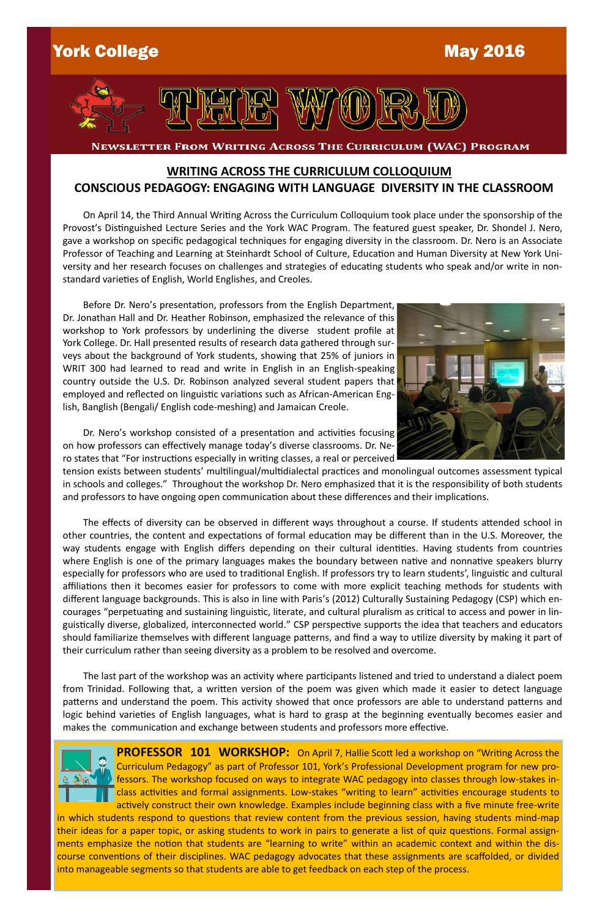



NEWSLETTER FROM WRITING ACROSS THE CURRICULUM (WAC) PROGRAM

## **WRITING ACROSS THE CURRICULUM COLLOQUIUM CONSCIOUS PEDAGOGY: ENGAGING WITH LANGUAGE DIVERSITY IN THE CLASSROOM**

 On April 14, the Third Annual Writing Across the Curriculum Colloquium took place under the sponsorship of the Provost's Distinguished Lecture Series and the York WAC Program. The featured guest speaker, Dr. Shondel J. Nero, gave a workshop on specific pedagogical techniques for engaging diversity in the classroom. Dr. Nero is an Associate Professor of Teaching and Learning at Steinhardt School of Culture, Education and Human Diversity at New York University and her research focuses on challenges and strategies of educating students who speak and/or write in nonstandard varieties of English, World Englishes, and Creoles.

 Before Dr. Nero's presentation, professors from the English Department, Dr. Jonathan Hall and Dr. Heather Robinson, emphasized the relevance of this workshop to York professors by underlining the diverse student profile at York College. Dr. Hall presented results of research data gathered through surveys about the background of York students, showing that 25% of juniors in WRIT 300 had learned to read and write in English in an English-speaking country outside the U.S. Dr. Robinson analyzed several student papers that employed and reflected on linguistic variations such as African-American English, Banglish (Bengali/ English code-meshing) and Jamaican Creole.

 Dr. Nero's workshop consisted of a presentation and activities focusing on how professors can effectively manage today's diverse classrooms. Dr. Nero states that "For instructions especially in writing classes, a real or perceived



tension exists between students' multilingual/multidialectal practices and monolingual outcomes assessment typical in schools and colleges." Throughout the workshop Dr. Nero emphasized that it is the responsibility of both students and professors to have ongoing open communication about these differences and their implications.

**PROFESSOR 101 WORKSHOP:** On April 7, Hallie Scott led a workshop on "Writing Across the Curriculum Pedagogy" as part of Professor 101, York's Professional Development program for new professors. The workshop focused on ways to integrate WAC pedagogy into classes through low-stakes inclass activities and formal assignments. Low-stakes "writing to learn" activities encourage students to actively construct their own knowledge. Examples include beginning class with a five minute free-write in which students respond to questions that review content from the previous session, having students mind-map their ideas for a paper topic, or asking students to work in pairs to generate a list of quiz questions. Formal assignments emphasize the notion that students are "learning to write" within an academic context and within the discourse conventions of their disciplines. WAC pedagogy advocates that these assignments are scaffolded, or divided into manageable segments so that students are able to get feedback on each step of the process.

 The effects of diversity can be observed in different ways throughout a course. If students attended school in other countries, the content and expectations of formal education may be different than in the U.S. Moreover, the way students engage with English differs depending on their cultural identities. Having students from countries where English is one of the primary languages makes the boundary between native and nonnative speakers blurry especially for professors who are used to traditional English. If professors try to learn students', linguistic and cultural affiliations then it becomes easier for professors to come with more explicit teaching methods for students with different language backgrounds. This is also in line with Paris's (2012) Culturally Sustaining Pedagogy (CSP) which encourages "perpetuating and sustaining linguistic, literate, and cultural pluralism as critical to access and power in linguistically diverse, globalized, interconnected world." CSP perspective supports the idea that teachers and educators should familiarize themselves with different language patterns, and find a way to utilize diversity by making it part of their curriculum rather than seeing diversity as a problem to be resolved and overcome.

 The last part of the workshop was an activity where participants listened and tried to understand a dialect poem from Trinidad. Following that, a written version of the poem was given which made it easier to detect language patterns and understand the poem. This activity showed that once professors are able to understand patterns and logic behind varieties of English languages, what is hard to grasp at the beginning eventually becomes easier and makes the communication and exchange between students and professors more effective.

 $2.2<sub>h</sub>$